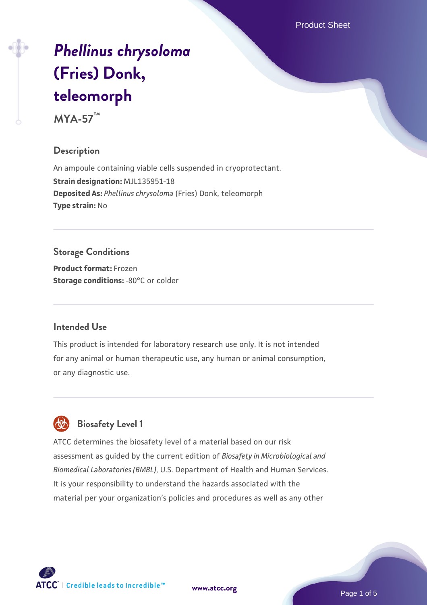Product Sheet

# *[Phellinus chrysoloma](https://www.atcc.org/products/mya-57)* **[\(Fries\) Donk,](https://www.atcc.org/products/mya-57) [teleomorph](https://www.atcc.org/products/mya-57)**

**MYA-57™**

# **Description**

An ampoule containing viable cells suspended in cryoprotectant. **Strain designation:** MJL135951-18 **Deposited As:** *Phellinus chrysoloma* (Fries) Donk, teleomorph **Type strain:** No

# **Storage Conditions**

**Product format:** Frozen **Storage conditions: -80°C** or colder

#### **Intended Use**

This product is intended for laboratory research use only. It is not intended for any animal or human therapeutic use, any human or animal consumption, or any diagnostic use.



# **Biosafety Level 1**

ATCC determines the biosafety level of a material based on our risk assessment as guided by the current edition of *Biosafety in Microbiological and Biomedical Laboratories (BMBL)*, U.S. Department of Health and Human Services. It is your responsibility to understand the hazards associated with the material per your organization's policies and procedures as well as any other

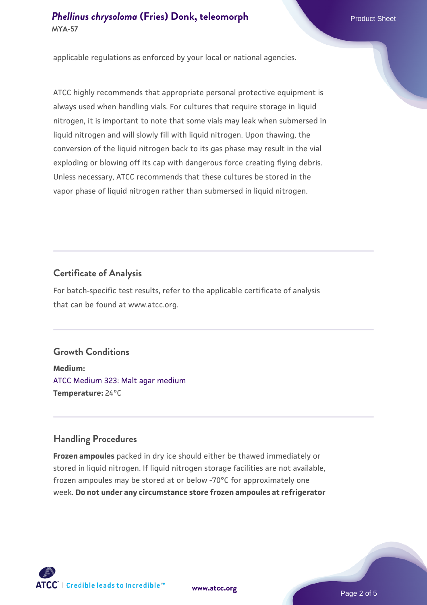applicable regulations as enforced by your local or national agencies.

ATCC highly recommends that appropriate personal protective equipment is always used when handling vials. For cultures that require storage in liquid nitrogen, it is important to note that some vials may leak when submersed in liquid nitrogen and will slowly fill with liquid nitrogen. Upon thawing, the conversion of the liquid nitrogen back to its gas phase may result in the vial exploding or blowing off its cap with dangerous force creating flying debris. Unless necessary, ATCC recommends that these cultures be stored in the vapor phase of liquid nitrogen rather than submersed in liquid nitrogen.

#### **Certificate of Analysis**

For batch-specific test results, refer to the applicable certificate of analysis that can be found at www.atcc.org.

# **Growth Conditions**

**Medium:**  [ATCC Medium 323: Malt agar medium](https://www.atcc.org/-/media/product-assets/documents/microbial-media-formulations/3/2/3/atcc-medium-323.pdf?rev=58d6457ee20149d7a1c844947569ef92) **Temperature:** 24°C

# **Handling Procedures**

**Frozen ampoules** packed in dry ice should either be thawed immediately or stored in liquid nitrogen. If liquid nitrogen storage facilities are not available, frozen ampoules may be stored at or below -70°C for approximately one week. **Do not under any circumstance store frozen ampoules at refrigerator**

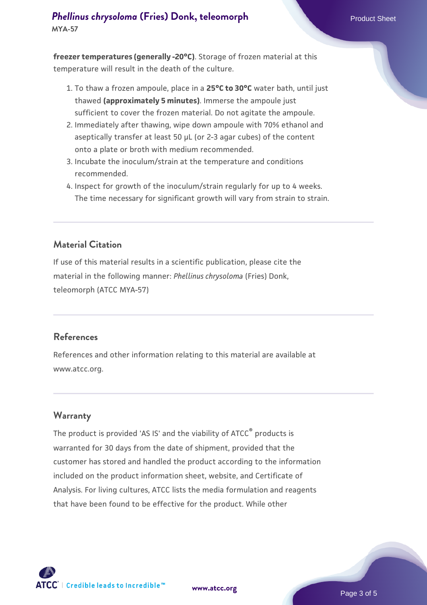**freezer temperatures (generally -20°C)**. Storage of frozen material at this temperature will result in the death of the culture.

- 1. To thaw a frozen ampoule, place in a **25°C to 30°C** water bath, until just thawed **(approximately 5 minutes)**. Immerse the ampoule just sufficient to cover the frozen material. Do not agitate the ampoule.
- 2. Immediately after thawing, wipe down ampoule with 70% ethanol and aseptically transfer at least 50 µL (or 2-3 agar cubes) of the content onto a plate or broth with medium recommended.
- 3. Incubate the inoculum/strain at the temperature and conditions recommended.
- 4. Inspect for growth of the inoculum/strain regularly for up to 4 weeks. The time necessary for significant growth will vary from strain to strain.

#### **Material Citation**

If use of this material results in a scientific publication, please cite the material in the following manner: *Phellinus chrysoloma* (Fries) Donk, teleomorph (ATCC MYA-57)

#### **References**

References and other information relating to this material are available at www.atcc.org.

#### **Warranty**

The product is provided 'AS IS' and the viability of ATCC<sup>®</sup> products is warranted for 30 days from the date of shipment, provided that the customer has stored and handled the product according to the information included on the product information sheet, website, and Certificate of Analysis. For living cultures, ATCC lists the media formulation and reagents that have been found to be effective for the product. While other



**[www.atcc.org](http://www.atcc.org)**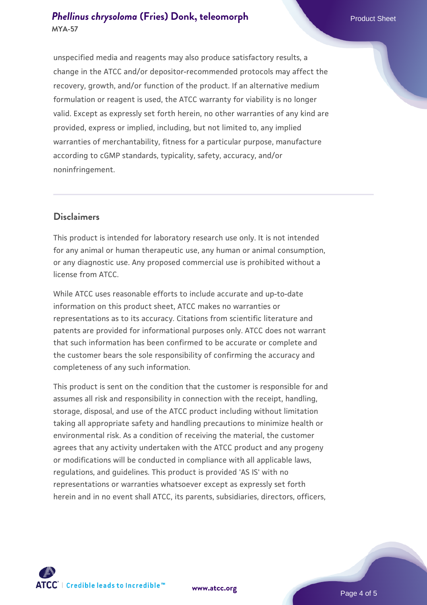unspecified media and reagents may also produce satisfactory results, a change in the ATCC and/or depositor-recommended protocols may affect the recovery, growth, and/or function of the product. If an alternative medium formulation or reagent is used, the ATCC warranty for viability is no longer valid. Except as expressly set forth herein, no other warranties of any kind are provided, express or implied, including, but not limited to, any implied warranties of merchantability, fitness for a particular purpose, manufacture according to cGMP standards, typicality, safety, accuracy, and/or noninfringement.

#### **Disclaimers**

This product is intended for laboratory research use only. It is not intended for any animal or human therapeutic use, any human or animal consumption, or any diagnostic use. Any proposed commercial use is prohibited without a license from ATCC.

While ATCC uses reasonable efforts to include accurate and up-to-date information on this product sheet, ATCC makes no warranties or representations as to its accuracy. Citations from scientific literature and patents are provided for informational purposes only. ATCC does not warrant that such information has been confirmed to be accurate or complete and the customer bears the sole responsibility of confirming the accuracy and completeness of any such information.

This product is sent on the condition that the customer is responsible for and assumes all risk and responsibility in connection with the receipt, handling, storage, disposal, and use of the ATCC product including without limitation taking all appropriate safety and handling precautions to minimize health or environmental risk. As a condition of receiving the material, the customer agrees that any activity undertaken with the ATCC product and any progeny or modifications will be conducted in compliance with all applicable laws, regulations, and guidelines. This product is provided 'AS IS' with no representations or warranties whatsoever except as expressly set forth herein and in no event shall ATCC, its parents, subsidiaries, directors, officers,



**[www.atcc.org](http://www.atcc.org)**

Page 4 of 5